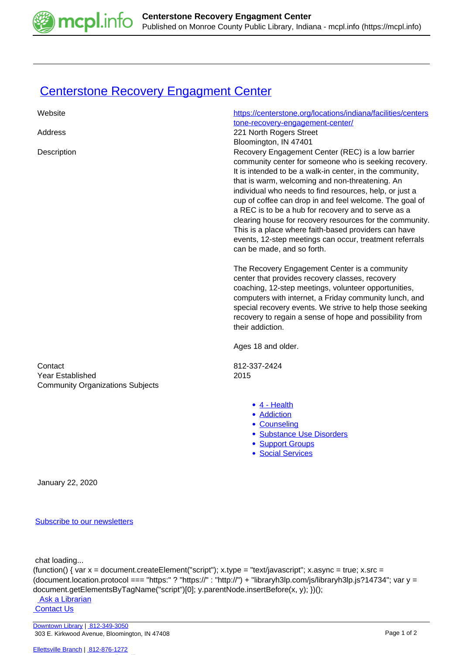

## **[Centerstone Recovery Engagment Center](https://mcpl.info/commorg/centerstone-recovery-engagment-center)**

| Website                                                                | https://centerstone.org/locations/indiana/facilities/centers<br>tone-recovery-engagement-center/                                                                                                                                                                                                                                                                                                                                                                                                                                                                                                                                             |
|------------------------------------------------------------------------|----------------------------------------------------------------------------------------------------------------------------------------------------------------------------------------------------------------------------------------------------------------------------------------------------------------------------------------------------------------------------------------------------------------------------------------------------------------------------------------------------------------------------------------------------------------------------------------------------------------------------------------------|
| Address                                                                | 221 North Rogers Street                                                                                                                                                                                                                                                                                                                                                                                                                                                                                                                                                                                                                      |
| Description                                                            | Bloomington, IN 47401<br>Recovery Engagement Center (REC) is a low barrier<br>community center for someone who is seeking recovery.<br>It is intended to be a walk-in center, in the community,<br>that is warm, welcoming and non-threatening. An<br>individual who needs to find resources, help, or just a<br>cup of coffee can drop in and feel welcome. The goal of<br>a REC is to be a hub for recovery and to serve as a<br>clearing house for recovery resources for the community.<br>This is a place where faith-based providers can have<br>events, 12-step meetings can occur, treatment referrals<br>can be made, and so forth. |
|                                                                        | The Recovery Engagement Center is a community<br>center that provides recovery classes, recovery<br>coaching, 12-step meetings, volunteer opportunities,<br>computers with internet, a Friday community lunch, and<br>special recovery events. We strive to help those seeking<br>recovery to regain a sense of hope and possibility from<br>their addiction.<br>Ages 18 and older.                                                                                                                                                                                                                                                          |
| Contact<br>Year Established<br><b>Community Organizations Subjects</b> | 812-337-2424<br>2015                                                                                                                                                                                                                                                                                                                                                                                                                                                                                                                                                                                                                         |
|                                                                        | $\bullet$ 4 - Health<br>• Addiction<br>• Counseling<br>· Substance Use Disorders<br>• Support Groups<br>· Social Services                                                                                                                                                                                                                                                                                                                                                                                                                                                                                                                    |
| January 22, 2020                                                       |                                                                                                                                                                                                                                                                                                                                                                                                                                                                                                                                                                                                                                              |

## [Subscribe to our newsletters](https://mcpl.info/geninfo/subscribe-think-library-newsletter)

chat loading...

(function() { var x = document.createElement("script"); x.type = "text/javascript"; x.async = true; x.src = (document.location.protocol === "https:" ? "https://" : "http://") + "libraryh3lp.com/js/libraryh3lp.js?14734"; var y = document.getElementsByTagName("script")[0]; y.parentNode.insertBefore(x, y); })();

Ask a Librarian  [Contact Us](https://mcpl.info/geninfo/contact-us)